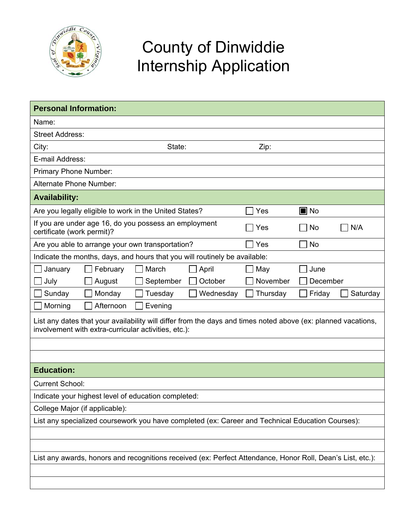

## County of Dinwiddie Internship Application

| <b>Personal Information:</b>                                                                                                                                          |          |                    |  |  |  |
|-----------------------------------------------------------------------------------------------------------------------------------------------------------------------|----------|--------------------|--|--|--|
| Name:                                                                                                                                                                 |          |                    |  |  |  |
| <b>Street Address:</b>                                                                                                                                                |          |                    |  |  |  |
| City:<br>State:                                                                                                                                                       | Zip:     |                    |  |  |  |
| E-mail Address:                                                                                                                                                       |          |                    |  |  |  |
| Primary Phone Number:                                                                                                                                                 |          |                    |  |  |  |
| Alternate Phone Number:                                                                                                                                               |          |                    |  |  |  |
| <b>Availability:</b>                                                                                                                                                  |          |                    |  |  |  |
| Are you legally eligible to work in the United States?                                                                                                                | Yes      | $\blacksquare$ No  |  |  |  |
| If you are under age 16, do you possess an employment<br>certificate (work permit)?                                                                                   | Yes      | N/A<br>No          |  |  |  |
| Are you able to arrange your own transportation?                                                                                                                      | Yes      | <b>No</b>          |  |  |  |
| Indicate the months, days, and hours that you will routinely be available:                                                                                            |          |                    |  |  |  |
| March<br>April<br>February<br>January                                                                                                                                 | May      | June               |  |  |  |
| July<br>October<br>August<br>September                                                                                                                                | November | December           |  |  |  |
| Monday<br>Tuesday<br>Wednesday<br>Sunday                                                                                                                              | Thursday | Friday<br>Saturday |  |  |  |
| Morning<br>Afternoon<br>Evening                                                                                                                                       |          |                    |  |  |  |
| List any dates that your availability will differ from the days and times noted above (ex: planned vacations,<br>involvement with extra-curricular activities, etc.): |          |                    |  |  |  |
|                                                                                                                                                                       |          |                    |  |  |  |
|                                                                                                                                                                       |          |                    |  |  |  |
| <b>Education:</b>                                                                                                                                                     |          |                    |  |  |  |
| <b>Current School:</b>                                                                                                                                                |          |                    |  |  |  |
| Indicate your highest level of education completed:                                                                                                                   |          |                    |  |  |  |
| College Major (if applicable):                                                                                                                                        |          |                    |  |  |  |
| List any specialized coursework you have completed (ex: Career and Technical Education Courses):                                                                      |          |                    |  |  |  |
|                                                                                                                                                                       |          |                    |  |  |  |
|                                                                                                                                                                       |          |                    |  |  |  |
| List any awards, honors and recognitions received (ex: Perfect Attendance, Honor Roll, Dean's List, etc.):                                                            |          |                    |  |  |  |
|                                                                                                                                                                       |          |                    |  |  |  |
|                                                                                                                                                                       |          |                    |  |  |  |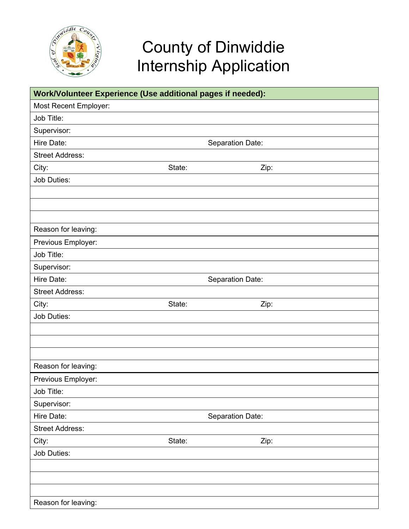

## County of Dinwiddie Internship Application

| Work/Volunteer Experience (Use additional pages if needed): |                  |  |      |  |
|-------------------------------------------------------------|------------------|--|------|--|
| Most Recent Employer:                                       |                  |  |      |  |
| Job Title:                                                  |                  |  |      |  |
| Supervisor:                                                 |                  |  |      |  |
| Hire Date:                                                  | Separation Date: |  |      |  |
| <b>Street Address:</b>                                      |                  |  |      |  |
| City:                                                       | State:           |  | Zip: |  |
| Job Duties:                                                 |                  |  |      |  |
|                                                             |                  |  |      |  |
|                                                             |                  |  |      |  |
|                                                             |                  |  |      |  |
| Reason for leaving:                                         |                  |  |      |  |
| Previous Employer:                                          |                  |  |      |  |
| Job Title:                                                  |                  |  |      |  |
| Supervisor:                                                 |                  |  |      |  |
| Hire Date:                                                  | Separation Date: |  |      |  |
| <b>Street Address:</b>                                      |                  |  |      |  |
| City:                                                       | State:           |  | Zip: |  |
| Job Duties:                                                 |                  |  |      |  |
|                                                             |                  |  |      |  |
|                                                             |                  |  |      |  |
|                                                             |                  |  |      |  |
| Reason for leaving:                                         |                  |  |      |  |
| Previous Employer:                                          |                  |  |      |  |
| Job Title:                                                  |                  |  |      |  |
| Supervisor:                                                 |                  |  |      |  |
| Hire Date:                                                  | Separation Date: |  |      |  |
| <b>Street Address:</b>                                      |                  |  |      |  |
| City:                                                       | State:           |  | Zip: |  |
| Job Duties:                                                 |                  |  |      |  |
|                                                             |                  |  |      |  |
|                                                             |                  |  |      |  |
|                                                             |                  |  |      |  |
| Reason for leaving:                                         |                  |  |      |  |